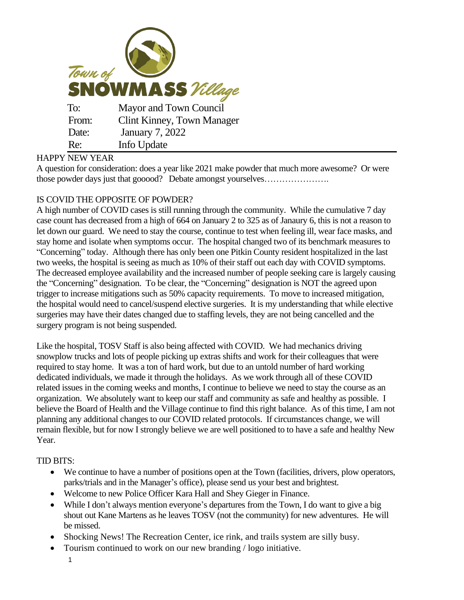

## HAPPY NEW YEAR

A question for consideration: does a year like 2021 make powder that much more awesome? Or were those powder days just that gooood? Debate amongst yourselves………………….

## IS COVID THE OPPOSITE OF POWDER?

A high number of COVID cases is still running through the community. While the cumulative 7 day case count has decreased from a high of 664 on January 2 to 325 as of Janaury 6, this is not a reason to let down our guard. We need to stay the course, continue to test when feeling ill, wear face masks, and stay home and isolate when symptoms occur. The hospital changed two of its benchmark measures to "Concerning" today. Although there has only been one Pitkin County resident hospitalized in the last two weeks, the hospital is seeing as much as 10% of their staff out each day with COVID symptoms. The decreased employee availability and the increased number of people seeking care is largely causing the "Concerning" designation. To be clear, the "Concerning" designation is NOT the agreed upon trigger to increase mitigations such as 50% capacity requirements. To move to increased mitigation, the hospital would need to cancel/suspend elective surgeries. It is my understanding that while elective surgeries may have their dates changed due to staffing levels, they are not being cancelled and the surgery program is not being suspended.

Like the hospital, TOSV Staff is also being affected with COVID. We had mechanics driving snowplow trucks and lots of people picking up extras shifts and work for their colleagues that were required to stay home. It was a ton of hard work, but due to an untold number of hard working dedicated individuals, we made it through the holidays. As we work through all of these COVID related issues in the coming weeks and months, I continue to believe we need to stay the course as an organization. We absolutely want to keep our staff and community as safe and healthy as possible. I believe the Board of Health and the Village continue to find this right balance. As of this time, I am not planning any additional changes to our COVID related protocols. If circumstances change, we will remain flexible, but for now I strongly believe we are well positioned to to have a safe and healthy New Year.

## TID BITS:

- We continue to have a number of positions open at the Town (facilities, drivers, plow operators, parks/trials and in the Manager's office), please send us your best and brightest.
- Welcome to new Police Officer Kara Hall and Shey Gieger in Finance.
- While I don't always mention everyone's departures from the Town, I do want to give a big shout out Kane Martens as he leaves TOSV (not the community) for new adventures. He will be missed.
- Shocking News! The Recreation Center, ice rink, and trails system are silly busy.
- Tourism continued to work on our new branding / logo initiative.
	- 1